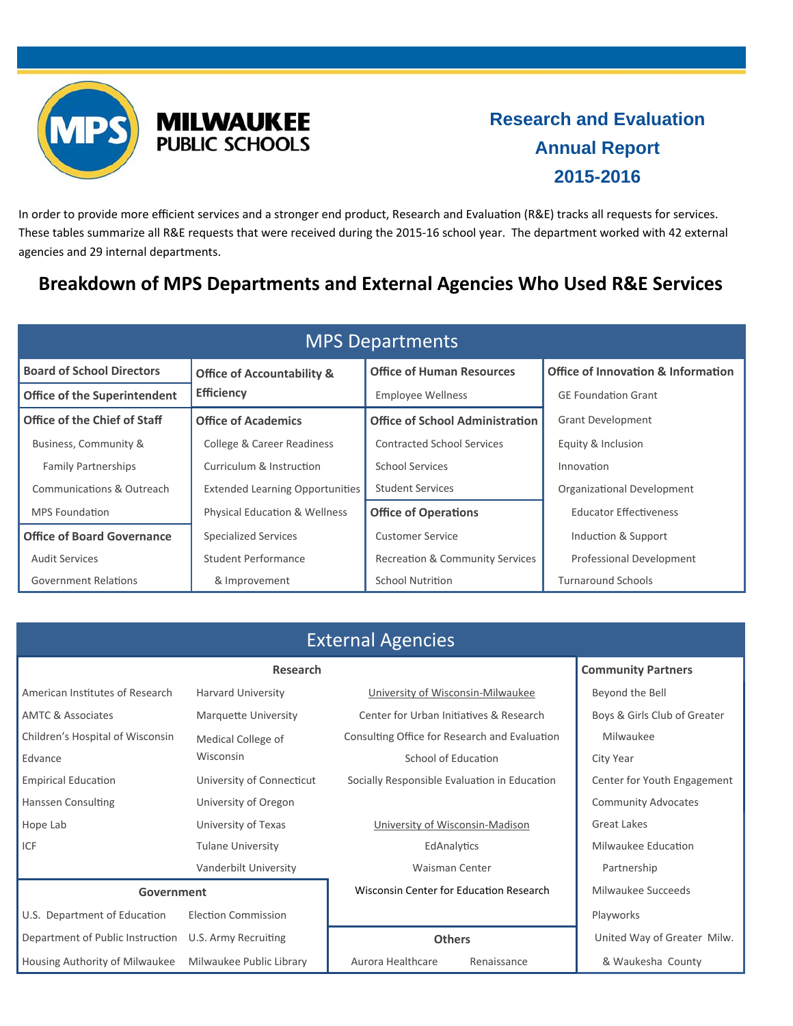



## **Research and Evaluation Annual Report 2015-2016**

In order to provide more efficient services and a stronger end product, Research and Evaluation (R&E) tracks all requests for services. These tables summarize all R&E requests that were received during the 2015‐16 school year. The department worked with 42 external agencies and 29 internal departments.

## **Breakdown of MPS Departments and External Agencies Who Used R&E Services**

| <b>MPS Departments</b>              |                                          |                                            |                                               |  |  |
|-------------------------------------|------------------------------------------|--------------------------------------------|-----------------------------------------------|--|--|
| <b>Board of School Directors</b>    | <b>Office of Accountability &amp;</b>    | <b>Office of Human Resources</b>           | <b>Office of Innovation &amp; Information</b> |  |  |
| <b>Office of the Superintendent</b> | <b>Efficiency</b>                        | <b>Employee Wellness</b>                   | <b>GE Foundation Grant</b>                    |  |  |
| Office of the Chief of Staff        | <b>Office of Academics</b>               | <b>Office of School Administration</b>     | <b>Grant Development</b>                      |  |  |
| Business, Community &               | <b>College &amp; Career Readiness</b>    | <b>Contracted School Services</b>          | Equity & Inclusion                            |  |  |
| <b>Family Partnerships</b>          | Curriculum & Instruction                 | <b>School Services</b>                     | Innovation                                    |  |  |
| Communications & Outreach           | <b>Extended Learning Opportunities</b>   | <b>Student Services</b>                    | Organizational Development                    |  |  |
| <b>MPS Foundation</b>               | <b>Physical Education &amp; Wellness</b> | <b>Office of Operations</b>                | <b>Educator Effectiveness</b>                 |  |  |
| <b>Office of Board Governance</b>   | <b>Specialized Services</b>              | <b>Customer Service</b>                    | Induction & Support                           |  |  |
| <b>Audit Services</b>               | Student Performance                      | <b>Recreation &amp; Community Services</b> | Professional Development                      |  |  |
| <b>Government Relations</b>         | & Improvement                            | <b>School Nutrition</b>                    | <b>Turnaround Schools</b>                     |  |  |

| <b>External Agencies</b>         |                             |                                               |                              |  |  |
|----------------------------------|-----------------------------|-----------------------------------------------|------------------------------|--|--|
|                                  | <b>Research</b>             |                                               | <b>Community Partners</b>    |  |  |
| American Institutes of Research  | <b>Harvard University</b>   | University of Wisconsin-Milwaukee             | Beyond the Bell              |  |  |
| <b>AMTC &amp; Associates</b>     | <b>Marquette University</b> | Center for Urban Initiatives & Research       | Boys & Girls Club of Greater |  |  |
| Children's Hospital of Wisconsin | Medical College of          | Consulting Office for Research and Evaluation | Milwaukee                    |  |  |
| Edvance                          | Wisconsin                   | School of Education                           | City Year                    |  |  |
| <b>Empirical Education</b>       | University of Connecticut   | Socially Responsible Evaluation in Education  | Center for Youth Engagement  |  |  |
| <b>Hanssen Consulting</b>        | University of Oregon        |                                               | <b>Community Advocates</b>   |  |  |
| Hope Lab                         | University of Texas         | University of Wisconsin-Madison               | Great Lakes                  |  |  |
| ICF                              | <b>Tulane University</b>    | EdAnalytics                                   | Milwaukee Education          |  |  |
|                                  | Vanderbilt University       | <b>Waisman Center</b>                         | Partnership                  |  |  |
| Government                       |                             | Wisconsin Center for Education Research       | Milwaukee Succeeds           |  |  |
| U.S. Department of Education     | Election Commission         |                                               | Playworks                    |  |  |
| Department of Public Instruction | U.S. Army Recruiting        | <b>Others</b>                                 | United Way of Greater Milw.  |  |  |
| Housing Authority of Milwaukee   | Milwaukee Public Library    | Aurora Healthcare<br>Renaissance              | & Waukesha County            |  |  |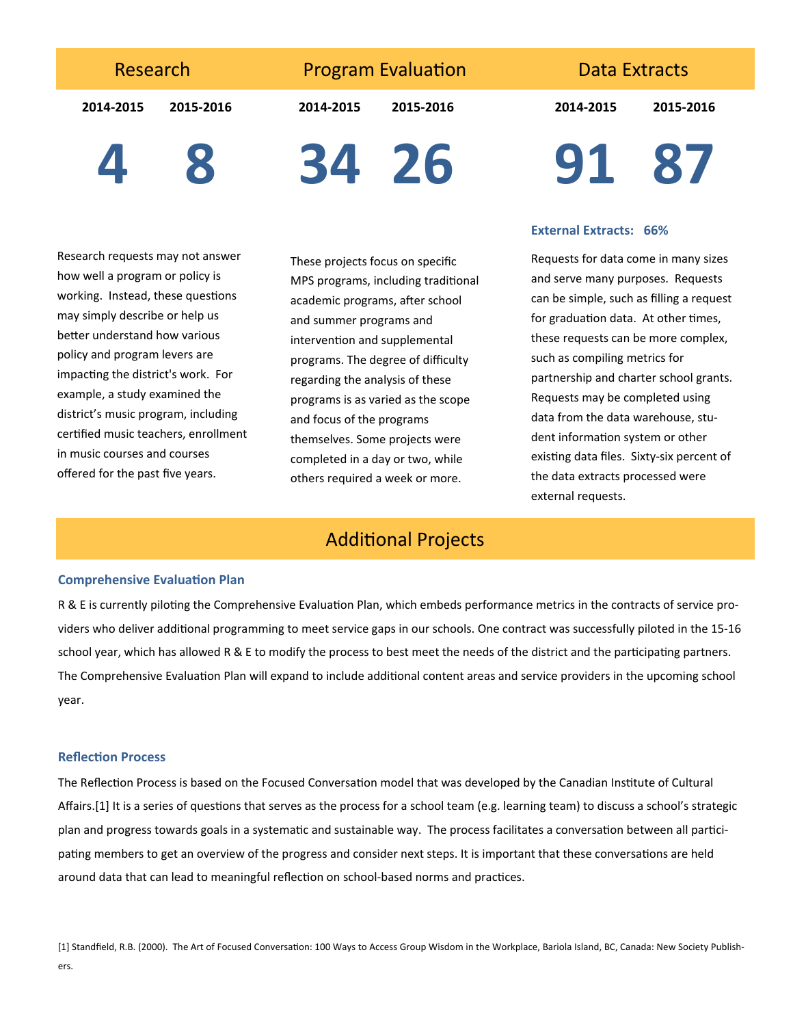Research

**Program Evaluation** 

**2014‐2015 2015‐2016**

**2014‐2015 2015‐2016**

Data Extracts

**2014‐2015 2015‐2016**

**4 8**

**34 26**

Research requests may not answer how well a program or policy is working. Instead, these questions may simply describe or help us better understand how various policy and program levers are impacting the district's work. For example, a study examined the district's music program, including certified music teachers, enrollment in music courses and courses offered for the past five years.

These projects focus on specific MPS programs, including traditional academic programs, after school and summer programs and intervention and supplemental programs. The degree of difficulty regarding the analysis of these programs is as varied as the scope and focus of the programs themselves. Some projects were completed in a day or two, while others required a week or more.

# **91 87**

#### **External Extracts: 66%**

Requests for data come in many sizes and serve many purposes. Requests can be simple, such as filling a request for graduation data. At other times, these requests can be more complex, such as compiling metrics for partnership and charter school grants. Requests may be completed using data from the data warehouse, stu‐ dent information system or other existing data files. Sixty-six percent of the data extracts processed were external requests.

## **Additional Projects**

#### **Comprehensive Evaluation Plan**

R & E is currently piloting the Comprehensive Evaluation Plan, which embeds performance metrics in the contracts of service providers who deliver additional programming to meet service gaps in our schools. One contract was successfully piloted in the 15-16 school year, which has allowed R & E to modify the process to best meet the needs of the district and the participating partners. The Comprehensive Evaluation Plan will expand to include additional content areas and service providers in the upcoming school year.

#### **ReflecƟon Process**

The Reflection Process is based on the Focused Conversation model that was developed by the Canadian Institute of Cultural Affairs.[1] It is a series of questions that serves as the process for a school team (e.g. learning team) to discuss a school's strategic plan and progress towards goals in a systematic and sustainable way. The process facilitates a conversation between all participating members to get an overview of the progress and consider next steps. It is important that these conversations are held around data that can lead to meaningful reflection on school-based norms and practices.

[1] Standfield, R.B. (2000). The Art of Focused Conversation: 100 Ways to Access Group Wisdom in the Workplace, Bariola Island, BC, Canada: New Society Publish-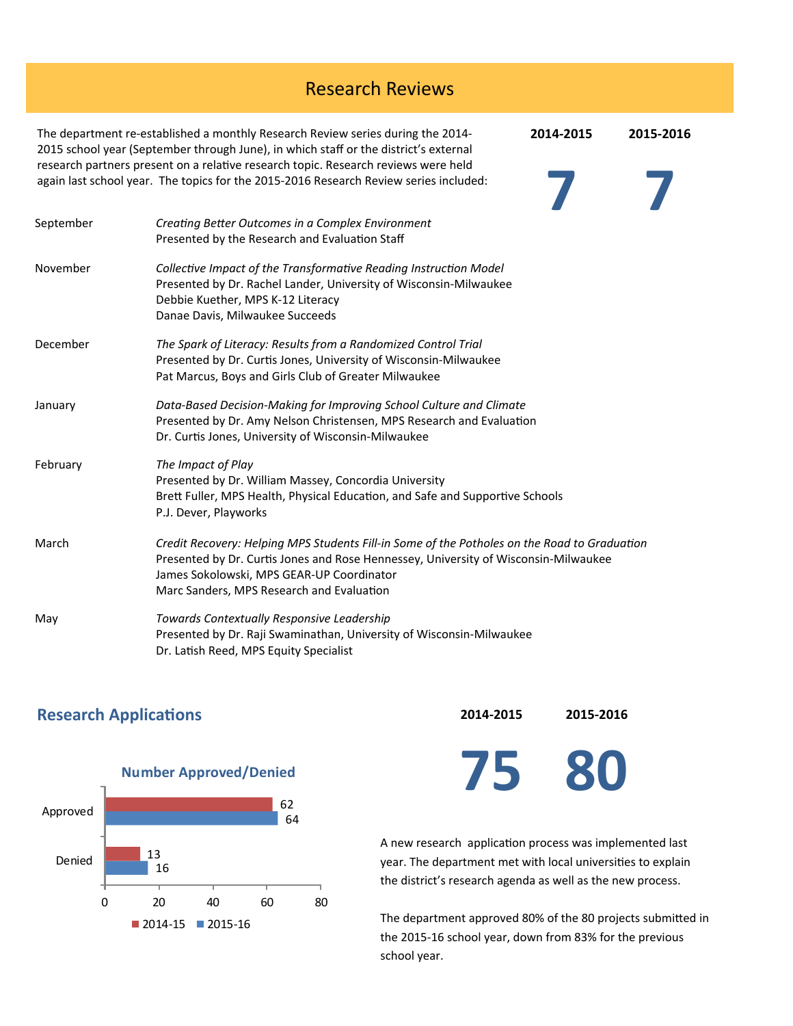| <b>Research Reviews</b> |                                                                                                                                                                                                                                                                                                                                                        |           |           |  |  |
|-------------------------|--------------------------------------------------------------------------------------------------------------------------------------------------------------------------------------------------------------------------------------------------------------------------------------------------------------------------------------------------------|-----------|-----------|--|--|
|                         | The department re-established a monthly Research Review series during the 2014-<br>2015 school year (September through June), in which staff or the district's external<br>research partners present on a relative research topic. Research reviews were held<br>again last school year. The topics for the 2015-2016 Research Review series included: | 2014-2015 | 2015-2016 |  |  |
| September               | Creating Better Outcomes in a Complex Environment<br>Presented by the Research and Evaluation Staff                                                                                                                                                                                                                                                    |           |           |  |  |
| November                | Collective Impact of the Transformative Reading Instruction Model<br>Presented by Dr. Rachel Lander, University of Wisconsin-Milwaukee<br>Debbie Kuether, MPS K-12 Literacy<br>Danae Davis, Milwaukee Succeeds                                                                                                                                         |           |           |  |  |
| December                | The Spark of Literacy: Results from a Randomized Control Trial<br>Presented by Dr. Curtis Jones, University of Wisconsin-Milwaukee<br>Pat Marcus, Boys and Girls Club of Greater Milwaukee                                                                                                                                                             |           |           |  |  |
| January                 | Data-Based Decision-Making for Improving School Culture and Climate<br>Presented by Dr. Amy Nelson Christensen, MPS Research and Evaluation<br>Dr. Curtis Jones, University of Wisconsin-Milwaukee                                                                                                                                                     |           |           |  |  |
| February                | The Impact of Play<br>Presented by Dr. William Massey, Concordia University<br>Brett Fuller, MPS Health, Physical Education, and Safe and Supportive Schools<br>P.J. Dever, Playworks                                                                                                                                                                  |           |           |  |  |
| March                   | Credit Recovery: Helping MPS Students Fill-in Some of the Potholes on the Road to Graduation<br>Presented by Dr. Curtis Jones and Rose Hennessey, University of Wisconsin-Milwaukee<br>James Sokolowski, MPS GEAR-UP Coordinator<br>Marc Sanders, MPS Research and Evaluation                                                                          |           |           |  |  |
| May                     | Towards Contextually Responsive Leadership<br>Presented by Dr. Raji Swaminathan, University of Wisconsin-Milwaukee<br>Dr. Latish Reed, MPS Equity Specialist                                                                                                                                                                                           |           |           |  |  |

### **Research Applications**



**2014‐2015 2015‐2016**

**75 80**

A new research application process was implemented last year. The department met with local universities to explain the district's research agenda as well as the new process.

The department approved 80% of the 80 projects submitted in the 2015‐16 school year, down from 83% for the previous school year.